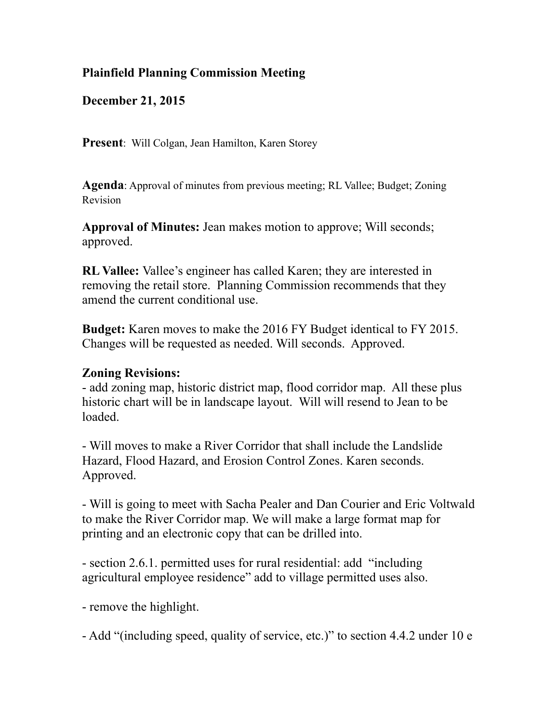## **Plainfield Planning Commission Meeting**

**December 21, 2015** 

**Present**: Will Colgan, Jean Hamilton, Karen Storey

**Agenda**: Approval of minutes from previous meeting; RL Vallee; Budget; Zoning Revision

**Approval of Minutes:** Jean makes motion to approve; Will seconds; approved.

**RL Vallee:** Vallee's engineer has called Karen; they are interested in removing the retail store. Planning Commission recommends that they amend the current conditional use.

**Budget:** Karen moves to make the 2016 FY Budget identical to FY 2015. Changes will be requested as needed. Will seconds. Approved.

## **Zoning Revisions:**

- add zoning map, historic district map, flood corridor map. All these plus historic chart will be in landscape layout. Will will resend to Jean to be loaded.

- Will moves to make a River Corridor that shall include the Landslide Hazard, Flood Hazard, and Erosion Control Zones. Karen seconds. Approved.

- Will is going to meet with Sacha Pealer and Dan Courier and Eric Voltwald to make the River Corridor map. We will make a large format map for printing and an electronic copy that can be drilled into.

- section 2.6.1. permitted uses for rural residential: add "including agricultural employee residence" add to village permitted uses also.

- remove the highlight.

- Add "(including speed, quality of service, etc.)" to section 4.4.2 under 10 e